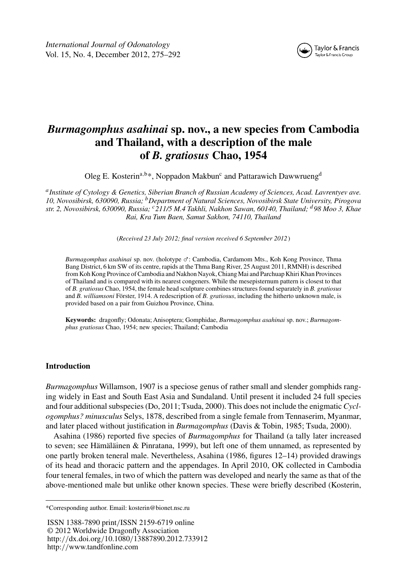

# *Burmagomphus asahinai* **sp. nov., a new species from Cambodia and Thailand, with a description of the male of** *B. gratiosus* **Chao, 1954**

Oleg E. Kosterin<sup>a,b\*</sup>, Noppadon Makbun<sup>c</sup> and Pattarawich Dawwrueng<sup>d</sup>

*<sup>a</sup>Institute of Cytology & Genetics, Siberian Branch of Russian Academy of Sciences, Acad. Lavrentyev ave. 10, Novosibirsk, 630090, Russia; <sup>b</sup>Department of Natural Sciences, Novosibirsk State University, Pirogova str. 2, Novosibirsk, 630090, Russia; <sup>c</sup>211/5 M.4 Takhli, Nakhon Sawan, 60140, Thailand; <sup>d</sup> 98 Moo 3, Khae Rai, Kra Tum Baen, Samut Sakhon, 74110, Thailand*

(*Received 23 July 2012; final version received 6 September 2012* )

*Burmagomphus asahinai* sp. nov. (holotype ♂: Cambodia, Cardamom Mts., Koh Kong Province, Thma Bang District, 6 km SW of its centre, rapids at the Thma Bang River, 25 August 2011, RMNH) is described from Koh Kong Province of Cambodia and Nakhon Nayok, Chiang Mai and Parchuap Khiri Khan Provinces of Thailand and is compared with its nearest congeners. While the mesepisternum pattern is closest to that of *B. gratiosus* Chao, 1954, the female head sculpture combines structures found separately in *B. gratiosus* and *B. williamsoni* Förster, 1914. A redescription of *B. gratiosus*, including the hitherto unknown male, is provided based on a pair from Guizhou Province, China.

**Keywords:** dragonfly; Odonata; Anisoptera; Gomphidae, *Burmagomphus asahinai* sp. nov.; *Burmagomphus gratiosus* Chao, 1954; new species; Thailand; Cambodia

# **Introduction**

*Burmagomphus* Willamson, 1907 is a speciose genus of rather small and slender gomphids ranging widely in East and South East Asia and Sundaland. Until present it included 24 full species and four additional subspecies (Do, 2011; Tsuda, 2000). This does not include the enigmatic *Cyclogomphus? minusculus* Selys, 1878, described from a single female from Tennaserim, Myanmar, and later placed without justification in *Burmagomphus* (Davis & Tobin, 1985; Tsuda, 2000).

Asahina (1986) reported five species of *Burmagomphus* for Thailand (a tally later increased to seven; see Hämäläinen & Pinratana, 1999), but left one of them unnamed, as represented by one partly broken teneral male. Nevertheless, Asahina (1986, figures 12–14) provided drawings of its head and thoracic pattern and the appendages. In April 2010, OK collected in Cambodia four teneral females, in two of which the pattern was developed and nearly the same as that of the above-mentioned male but unlike other known species. These were briefly described (Kosterin,

ISSN 1388-7890 print*/*ISSN 2159-6719 online © 2012 Worldwide Dragonfly Association http:*//*dx.doi.org*/*10.1080*/*13887890.2012.733912 http:*//*www.tandfonline.com

<sup>\*</sup>Corresponding author. Email: kosterin@bionet.nsc.ru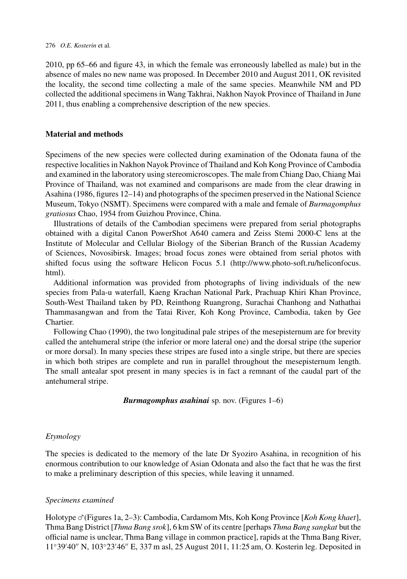#### 276 *O.E. Kosterin* et al.

2010, pp 65–66 and figure 43, in which the female was erroneously labelled as male) but in the absence of males no new name was proposed. In December 2010 and August 2011, OK revisited the locality, the second time collecting a male of the same species. Meanwhile NM and PD collected the additional specimens in Wang Takhrai, Nakhon Nayok Province of Thailand in June 2011, thus enabling a comprehensive description of the new species.

## **Material and methods**

Specimens of the new species were collected during examination of the Odonata fauna of the respective localities in Nakhon Nayok Province of Thailand and Koh Kong Province of Cambodia and examined in the laboratory using stereomicroscopes. The male from Chiang Dao, Chiang Mai Province of Thailand, was not examined and comparisons are made from the clear drawing in Asahina (1986, figures 12–14) and photographs of the specimen preserved in the National Science Museum, Tokyo (NSMT). Specimens were compared with a male and female of *Burmagomphus gratiosus* Chao, 1954 from Guizhou Province, China.

Illustrations of details of the Cambodian specimens were prepared from serial photographs obtained with a digital Canon PowerShot A640 camera and Zeiss Stemi 2000-C lens at the Institute of Molecular and Cellular Biology of the Siberian Branch of the Russian Academy of Sciences, Novosibirsk. Images; broad focus zones were obtained from serial photos with shifted focus using the software Helicon Focus 5.1 [\(http://www.photo-soft.ru/heliconfocus.](http://www.photo-soft.ru/heliconfocus.html) [html\)](http://www.photo-soft.ru/heliconfocus.html).

Additional information was provided from photographs of living individuals of the new species from Pala-u waterfall, Kaeng Krachan National Park, Prachuap Khiri Khan Province, South-West Thailand taken by PD, Reinthong Ruangrong, Surachai Chanhong and Nathathai Thammasangwan and from the Tatai River, Koh Kong Province, Cambodia, taken by Gee Chartier.

Following Chao (1990), the two longitudinal pale stripes of the mesepisternum are for brevity called the antehumeral stripe (the inferior or more lateral one) and the dorsal stripe (the superior or more dorsal). In many species these stripes are fused into a single stripe, but there are species in which both stripes are complete and run in parallel throughout the mesepisternum length. The small antealar spot present in many species is in fact a remnant of the caudal part of the antehumeral stripe.

*Burmagomphus asahinai* sp. nov. (Figures [1](#page-2-0)[–6\)](#page-7-0)

## *Etymology*

The species is dedicated to the memory of the late Dr Syoziro Asahina, in recognition of his enormous contribution to our knowledge of Asian Odonata and also the fact that he was the first to make a preliminary description of this species, while leaving it unnamed.

## *Specimens examined*

Holotype ✚(Figures [1a](#page-2-0), [2](#page-3-0)[–3\)](#page-4-0): Cambodia, Cardamom Mts, Koh Kong Province [*Koh Kong khaet*], Thma Bang District [*Thma Bang srok*], 6 km SW of its centre [perhaps *Thma Bang sangkat* but the official name is unclear, Thma Bang village in common practice], rapids at the Thma Bang River, 11°39'40" N, 103°23'46" E, 337 m asl, 25 August 2011, 11:25 am, O. Kosterin leg. Deposited in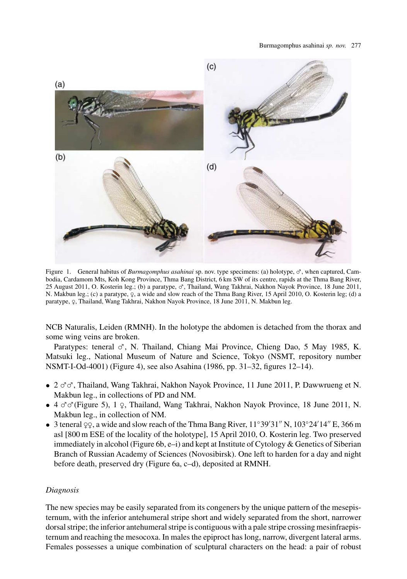#### Burmagomphus asahinai *sp. nov.* 277

<span id="page-2-0"></span>

Figure 1. General habitus of *Burmagomphus asahinai* sp. nov. type specimens: (a) holotype, ♂, when captured, Cambodia, Cardamom Mts, Koh Kong Province, Thma Bang District, 6 km SW of its centre, rapids at the Thma Bang River, 25 August 2011, O. Kosterin leg.; (b) a paratype, ♂, Thailand, Wang Takhrai, Nakhon Nayok Province, 18 June 2011, N. Makbun leg.; (c) a paratype,  $\varphi$ , a wide and slow reach of the Thma Bang River, 15 April 2010, O. Kosterin leg; (d) a paratype, ♀, Thailand, Wang Takhrai, Nakhon Nayok Province, 18 June 2011, N. Makbun leg.

NCB Naturalis, Leiden (RMNH). In the holotype the abdomen is detached from the thorax and some wing veins are broken.

Paratypes: teneral  $\sigma$ , N. Thailand, Chiang Mai Province, Chieng Dao, 5 May 1985, K. Matsuki leg., National Museum of Nature and Science, Tokyo (NSMT, repository number NSMT-I-Od-4001) (Figure [4\)](#page-5-0), see also Asahina (1986, pp. 31–32, figures 12–14).

- 2 ✚✚, Thailand, Wang Takhrai, Nakhon Nayok Province, 11 June 2011, P. Dawwrueng et N. Makbun leg., in collections of PD and NM.
- 4  $\sigma\sigma$ (Figure [5\)](#page-6-0), 1  $\varphi$ , Thailand, Wang Takhrai, Nakhon Nayok Province, 18 June 2011, N. Makbun leg., in collection of NM.
- 3 teneral  $\varphi$ , a wide and slow reach of the Thma Bang River,  $11°39'31''$  N,  $103°24'14''$  E,  $366$  m asl [800 m ESE of the locality of the holotype], 15 April 2010, O. Kosterin leg. Two preserved immediately in alcohol (Figure [6b](#page-7-0),  $e-i$ ) and kept at Institute of Cytology & Genetics of Siberian Branch of Russian Academy of Sciences (Novosibirsk). One left to harden for a day and night before death, preserved dry (Figure [6a](#page-7-0), c–d), deposited at RMNH.

## *Diagnosis*

The new species may be easily separated from its congeners by the unique pattern of the mesepisternum, with the inferior antehumeral stripe short and widely separated from the short, narrower dorsal stripe; the inferior antehumeral stripe is contiguous with a pale stripe crossing mesinfraepisternum and reaching the mesocoxa. In males the epiproct has long, narrow, divergent lateral arms. Females possesses a unique combination of sculptural characters on the head: a pair of robust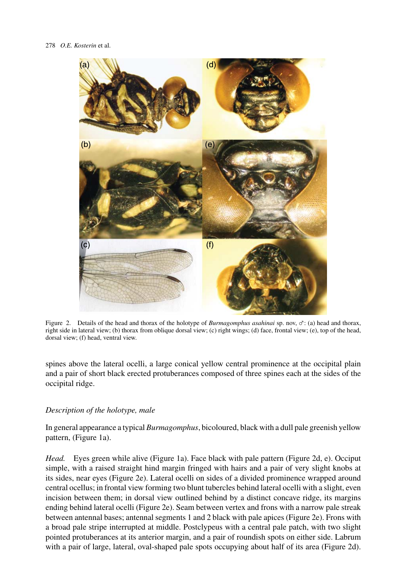<span id="page-3-0"></span>

Figure 2. Details of the head and thorax of the holotype of *Burmagomphus asahinai* sp. nov, ♂: (a) head and thorax, right side in lateral view; (b) thorax from oblique dorsal view; (c) right wings; (d) face, frontal view; (e), top of the head, dorsal view; (f) head, ventral view.

spines above the lateral ocelli, a large conical yellow central prominence at the occipital plain and a pair of short black erected protuberances composed of three spines each at the sides of the occipital ridge.

# *Description of the holotype, male*

In general appearance a typical *Burmagomphus*, bicoloured, black with a dull pale greenish yellow pattern, (Figure [1a](#page-2-0)).

*Head.* Eyes green while alive (Figure 1a). Face black with pale pattern (Figure 2d, e). Occiput simple, with a raised straight hind margin fringed with hairs and a pair of very slight knobs at its sides, near eyes (Figure 2e). Lateral ocelli on sides of a divided prominence wrapped around central ocellus; in frontal view forming two blunt tubercles behind lateral ocelli with a slight, even incision between them; in dorsal view outlined behind by a distinct concave ridge, its margins ending behind lateral ocelli (Figure 2e). Seam between vertex and frons with a narrow pale streak between antennal bases; antennal segments 1 and 2 black with pale apices (Figure 2e). Frons with a broad pale stripe interrupted at middle. Postclypeus with a central pale patch, with two slight pointed protuberances at its anterior margin, and a pair of roundish spots on either side. Labrum with a pair of large, lateral, oval-shaped pale spots occupying about half of its area (Figure 2d).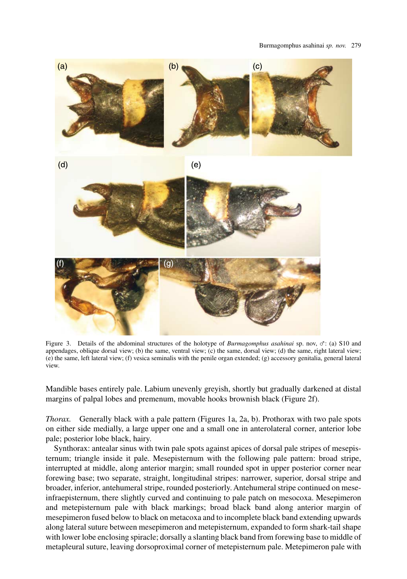#### Burmagomphus asahinai *sp. nov.* 279

<span id="page-4-0"></span>

Figure 3. Details of the abdominal structures of the holotype of *Burmagomphus asahinai* sp. nov, ♂: (a) S10 and appendages, oblique dorsal view; (b) the same, ventral view; (c) the same, dorsal view; (d) the same, right lateral view; (e) the same, left lateral view; (f) vesica seminalis with the penile organ extended; (g) accessory genitalia, general lateral view.

Mandible bases entirely pale. Labium unevenly greyish, shortly but gradually darkened at distal margins of palpal lobes and premenum, movable hooks brownish black (Figure [2f](#page-3-0)).

*Thorax.* Generally black with a pale pattern (Figures [1a](#page-2-0), [2a](#page-3-0), b). Prothorax with two pale spots on either side medially, a large upper one and a small one in anterolateral corner, anterior lobe pale; posterior lobe black, hairy.

Synthorax: antealar sinus with twin pale spots against apices of dorsal pale stripes of mesepisternum; triangle inside it pale. Mesepisternum with the following pale pattern: broad stripe, interrupted at middle, along anterior margin; small rounded spot in upper posterior corner near forewing base; two separate, straight, longitudinal stripes: narrower, superior, dorsal stripe and broader, inferior, antehumeral stripe, rounded posteriorly. Antehumeral stripe continued on meseinfraepisternum, there slightly curved and continuing to pale patch on mesocoxa. Mesepimeron and metepisternum pale with black markings; broad black band along anterior margin of mesepimeron fused below to black on metacoxa and to incomplete black band extending upwards along lateral suture between mesepimeron and metepisternum, expanded to form shark-tail shape with lower lobe enclosing spiracle; dorsally a slanting black band from forewing base to middle of metapleural suture, leaving dorsoproximal corner of metepisternum pale. Metepimeron pale with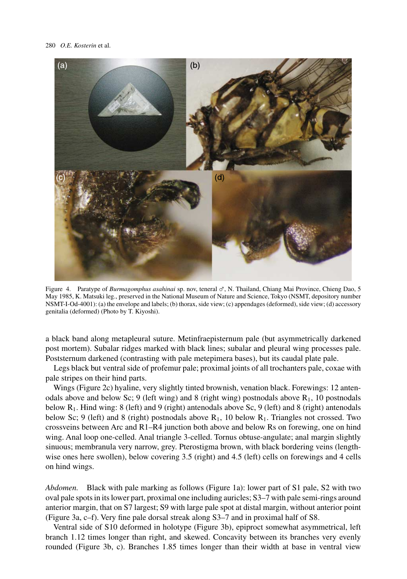<span id="page-5-0"></span>

Figure 4. Paratype of *Burmagomphus asahinai* sp. nov, teneral ♂, N. Thailand, Chiang Mai Province, Chieng Dao, 5 May 1985, K. Matsuki leg., preserved in the National Museum of Nature and Science, Tokyo (NSMT, depository number NSMT-I-Od-4001): (a) the envelope and labels; (b) thorax, side view; (c) appendages (deformed), side view; (d) accessory genitalia (deformed) (Photo by T. Kiyoshi).

a black band along metapleural suture. Metinfraepisternum pale (but asymmetrically darkened post mortem). Subalar ridges marked with black lines; subalar and pleural wing processes pale. Poststernum darkened (contrasting with pale metepimera bases), but its caudal plate pale.

Legs black but ventral side of profemur pale; proximal joints of all trochanters pale, coxae with pale stripes on their hind parts.

Wings (Figure [2c](#page-3-0)) hyaline, very slightly tinted brownish, venation black. Forewings: 12 antenodals above and below Sc; 9 (left wing) and 8 (right wing) postnodals above  $R_1$ , 10 postnodals below  $R_1$ . Hind wing: 8 (left) and 9 (right) antenodals above Sc, 9 (left) and 8 (right) antenodals below Sc; 9 (left) and 8 (right) postnodals above  $R_1$ , 10 below  $R_1$ . Triangles not crossed. Two crossveins between Arc and R1–R4 junction both above and below Rs on forewing, one on hind wing. Anal loop one-celled. Anal triangle 3-celled. Tornus obtuse-angulate; anal margin slightly sinuous; membranula very narrow, grey. Pterostigma brown, with black bordering veins (lengthwise ones here swollen), below covering 3.5 (right) and 4.5 (left) cells on forewings and 4 cells on hind wings.

*Abdomen.* Black with pale marking as follows (Figure [1a](#page-2-0)): lower part of S1 pale, S2 with two oval pale spots in its lower part, proximal one including auricles; S3–7 with pale semi-rings around anterior margin, that on S7 largest; S9 with large pale spot at distal margin, without anterior point (Figure [3a](#page-4-0), c–f). Very fine pale dorsal streak along S3–7 and in proximal half of S8.

Ventral side of S10 deformed in holotype (Figure [3b](#page-4-0)), epiproct somewhat asymmetrical, left branch 1.12 times longer than right, and skewed. Concavity between its branches very evenly rounded (Figure [3b](#page-4-0), c). Branches 1.85 times longer than their width at base in ventral view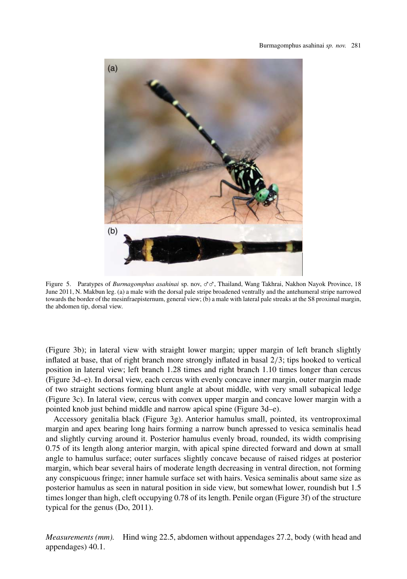<span id="page-6-0"></span>

Figure 5. Paratypes of *Burmagomphus asahinai* sp. nov, ♂♂, Thailand, Wang Takhrai, Nakhon Nayok Province, 18 June 2011, N. Makbun leg. (a) a male with the dorsal pale stripe broadened ventrally and the antehumeral stripe narrowed towards the border of the mesinfraepisternum, general view; (b) a male with lateral pale streaks at the S8 proximal margin, the abdomen tip, dorsal view.

(Figure [3b](#page-4-0)); in lateral view with straight lower margin; upper margin of left branch slightly inflated at base, that of right branch more strongly inflated in basal 2*/*3; tips hooked to vertical position in lateral view; left branch 1.28 times and right branch 1.10 times longer than cercus (Figure [3d](#page-4-0)–e). In dorsal view, each cercus with evenly concave inner margin, outer margin made of two straight sections forming blunt angle at about middle, with very small subapical ledge (Figure [3c](#page-4-0)). In lateral view, cercus with convex upper margin and concave lower margin with a pointed knob just behind middle and narrow apical spine (Figure [3d](#page-4-0)–e).

Accessory genitalia black (Figure [3g](#page-4-0)). Anterior hamulus small, pointed, its ventroproximal margin and apex bearing long hairs forming a narrow bunch apressed to vesica seminalis head and slightly curving around it. Posterior hamulus evenly broad, rounded, its width comprising 0.75 of its length along anterior margin, with apical spine directed forward and down at small angle to hamulus surface; outer surfaces slightly concave because of raised ridges at posterior margin, which bear several hairs of moderate length decreasing in ventral direction, not forming any conspicuous fringe; inner hamule surface set with hairs. Vesica seminalis about same size as posterior hamulus as seen in natural position in side view, but somewhat lower, roundish but 1.5 times longer than high, cleft occupying 0.78 of its length. Penile organ (Figure [3f](#page-4-0)) of the structure typical for the genus (Do, 2011).

*Measurements (mm).* Hind wing 22.5, abdomen without appendages 27.2, body (with head and appendages) 40.1.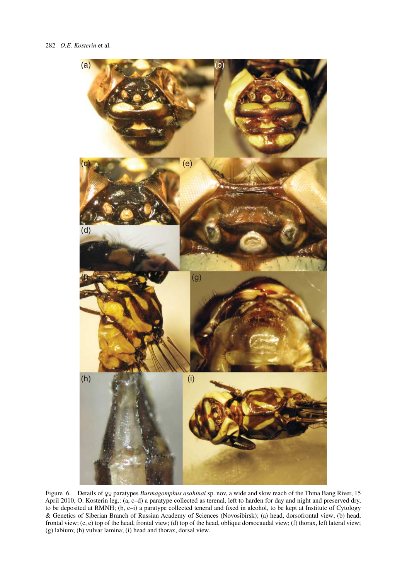<span id="page-7-0"></span>

Figure 6. Details of ♀♀ paratypes *Burmagomphus asahinai* sp. nov, a wide and slow reach of the Thma Bang River, 15 April 2010, O. Kosterin leg.: (a, c–d) a paratype collected as terenal, left to harden for day and night and preserved dry, to be deposited at RMNH; (b, e–i) a paratype collected teneral and fixed in alcohol, to be kept at Institute of Cytology & Genetics of Siberian Branch of Russian Academy of Sciences (Novosibirsk); (a) head, dorsofrontal view; (b) head, frontal view; (c, e) top of the head, frontal view; (d) top of the head, oblique dorsocaudal view; (f) thorax, left lateral view; (g) labium; (h) vulvar lamina; (i) head and thorax, dorsal view.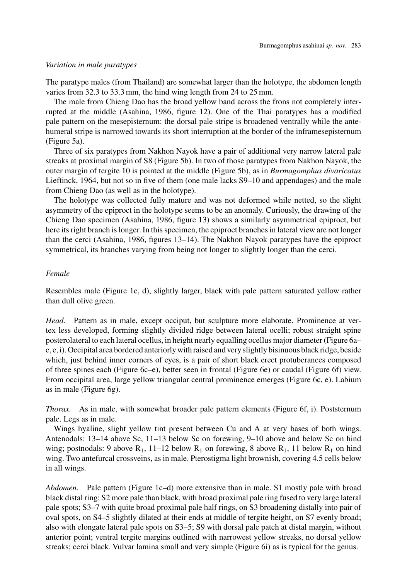## *Variation in male paratypes*

The paratype males (from Thailand) are somewhat larger than the holotype, the abdomen length varies from 32.3 to 33.3 mm, the hind wing length from 24 to 25 mm.

The male from Chieng Dao has the broad yellow band across the frons not completely interrupted at the middle (Asahina, 1986, figure 12). One of the Thai paratypes has a modified pale pattern on the mesepisternum: the dorsal pale stripe is broadened ventrally while the antehumeral stripe is narrowed towards its short interruption at the border of the inframesepisternum (Figure [5a](#page-6-0)).

Three of six paratypes from Nakhon Nayok have a pair of additional very narrow lateral pale streaks at proximal margin of S8 (Figure [5b](#page-6-0)). In two of those paratypes from Nakhon Nayok, the outer margin of tergite 10 is pointed at the middle (Figure [5b](#page-6-0)), as in *Burmagomphus divaricatus* Lieftinck, 1964, but not so in five of them (one male lacks S9–10 and appendages) and the male from Chieng Dao (as well as in the holotype).

The holotype was collected fully mature and was not deformed while netted, so the slight asymmetry of the epiproct in the holotype seems to be an anomaly. Curiously, the drawing of the Chieng Dao specimen (Asahina, 1986, figure 13) shows a similarly asymmetrical epiproct, but here its right branch is longer. In this specimen, the epiproct branches in lateral view are not longer than the cerci (Asahina, 1986, figures 13–14). The Nakhon Nayok paratypes have the epiproct symmetrical, its branches varying from being not longer to slightly longer than the cerci.

#### *Female*

Resembles male (Figure [1c](#page-2-0), d), slightly larger, black with pale pattern saturated yellow rather than dull olive green.

*Head.* Pattern as in male, except occiput, but sculpture more elaborate. Prominence at vertex less developed, forming slightly divided ridge between lateral ocelli; robust straight spine posterolateral to each lateral ocellus, in height nearly equalling ocellus major diameter (Figure [6a](#page-7-0)– c, e, i). Occipital area bordered anteriorly with raised and very slightly bisinuous black ridge, beside which, just behind inner corners of eyes, is a pair of short black erect protuberances composed of three spines each (Figure [6c](#page-7-0)–e), better seen in frontal (Figure [6e](#page-7-0)) or caudal (Figure [6f](#page-7-0)) view. From occipital area, large yellow triangular central prominence emerges (Figure [6c](#page-7-0), e). Labium as in male (Figure [6g](#page-7-0)).

*Thorax.* As in male, with somewhat broader pale pattern elements (Figure [6f](#page-7-0), i). Poststernum pale. Legs as in male.

Wings hyaline, slight yellow tint present between Cu and A at very bases of both wings. Antenodals: 13–14 above Sc, 11–13 below Sc on forewing, 9–10 above and below Sc on hind wing; postnodals: 9 above  $R_1$ , 11–12 below  $R_1$  on forewing, 8 above  $R_1$ , 11 below  $R_1$  on hind wing. Two antefurcal crossveins, as in male. Pterostigma light brownish, covering 4.5 cells below in all wings.

*Abdomen.* Pale pattern (Figure [1c](#page-2-0)–d) more extensive than in male. S1 mostly pale with broad black distal ring; S2 more pale than black, with broad proximal pale ring fused to very large lateral pale spots; S3–7 with quite broad proximal pale half rings, on S3 broadening distally into pair of oval spots, on S4–5 slightly dilated at their ends at middle of tergite height, on S7 evenly broad; also with elongate lateral pale spots on S3–5; S9 with dorsal pale patch at distal margin, without anterior point; ventral tergite margins outlined with narrowest yellow streaks, no dorsal yellow streaks; cerci black. Vulvar lamina small and very simple (Figure [6i](#page-7-0)) as is typical for the genus.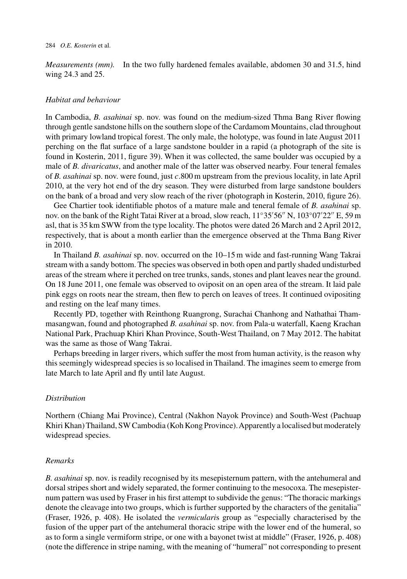*Measurements (mm).* In the two fully hardened females available, abdomen 30 and 31.5, hind wing 24.3 and 25.

#### *Habitat and behaviour*

In Cambodia, *B. asahinai* sp. nov. was found on the medium-sized Thma Bang River flowing through gentle sandstone hills on the southern slope of the Cardamom Mountains, clad throughout with primary lowland tropical forest. The only male, the holotype, was found in late August 2011 perching on the flat surface of a large sandstone boulder in a rapid (a photograph of the site is found in Kosterin, 2011, figure 39). When it was collected, the same boulder was occupied by a male of *B. divaricatus*, and another male of the latter was observed nearby. Four teneral females of *B. asahinai* sp. nov. were found, just *c*.800 m upstream from the previous locality, in late April 2010, at the very hot end of the dry season. They were disturbed from large sandstone boulders on the bank of a broad and very slow reach of the river (photograph in Kosterin, 2010, figure 26).

Gee Chartier took identifiable photos of a mature male and teneral female of *B. asahinai* sp. nov. on the bank of the Right Tatai River at a broad, slow reach,  $11°35'56''$  N,  $103°07'22''$  E, 59 m asl, that is 35 km SWW from the type locality. The photos were dated 26 March and 2 April 2012, respectively, that is about a month earlier than the emergence observed at the Thma Bang River in 2010.

In Thailand *B. asahinai* sp. nov. occurred on the 10–15 m wide and fast-running Wang Takrai stream with a sandy bottom. The species was observed in both open and partly shaded undisturbed areas of the stream where it perched on tree trunks, sands, stones and plant leaves near the ground. On 18 June 2011, one female was observed to oviposit on an open area of the stream. It laid pale pink eggs on roots near the stream, then flew to perch on leaves of trees. It continued ovipositing and resting on the leaf many times.

Recently PD, together with Reinthong Ruangrong, Surachai Chanhong and Nathathai Thammasangwan, found and photographed *B. asahinai* sp. nov. from Pala-u waterfall, Kaeng Krachan National Park, Prachuap Khiri Khan Province, South-West Thailand, on 7 May 2012. The habitat was the same as those of Wang Takrai.

Perhaps breeding in larger rivers, which suffer the most from human activity, is the reason why this seemingly widespread species is so localised in Thailand. The imagines seem to emerge from late March to late April and fly until late August.

## *Distribution*

Northern (Chiang Mai Province), Central (Nakhon Nayok Province) and South-West (Pachuap Khiri Khan) Thailand, SW Cambodia (Koh Kong Province). Apparently a localised but moderately widespread species.

#### *Remarks*

*B. asahinai* sp. nov. is readily recognised by its mesepisternum pattern, with the antehumeral and dorsal stripes short and widely separated, the former continuing to the mesocoxa. The mesepisternum pattern was used by Fraser in his first attempt to subdivide the genus: "The thoracic markings denote the cleavage into two groups, which is further supported by the characters of the genitalia" (Fraser, 1926, p. 408). He isolated the *vermiculari*s group as "especially characterised by the fusion of the upper part of the antehumeral thoracic stripe with the lower end of the humeral, so as to form a single vermiform stripe, or one with a bayonet twist at middle" (Fraser, 1926, p. 408) (note the difference in stripe naming, with the meaning of "humeral" not corresponding to present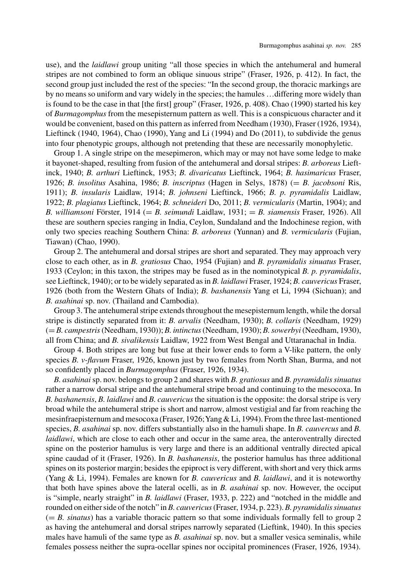use), and the *laidlawi* group uniting "all those species in which the antehumeral and humeral stripes are not combined to form an oblique sinuous stripe" (Fraser, 1926, p. 412). In fact, the second group just included the rest of the species: "In the second group, the thoracic markings are by no means so uniform and vary widely in the species; the hamules …differing more widely than is found to be the case in that [the first] group" (Fraser, 1926, p. 408). Chao (1990) started his key of *Burmagomphus* from the mesepisternum pattern as well. This is a conspicuous character and it would be convenient, based on this pattern as inferred from Needham (1930), Fraser (1926, 1934), Lieftinck (1940, 1964), Chao (1990), Yang and Li (1994) and Do (2011), to subdivide the genus into four phenotypic groups, although not pretending that these are necessarily monophyletic.

Group 1. A single stripe on the mesepimeron, which may or may not have some ledge to make it bayonet-shaped, resulting from fusion of the antehumeral and dorsal stripes: *B. arboreus* Lieftinck, 1940; *B. arthuri* Lieftinck, 1953; *B. divaricatus* Lieftinck, 1964; *B. hasimaricus* Fraser, 1926; *B. insolitus* Asahina, 1986; *B. inscriptus* (Hagen in Selys, 1878) (= *B. jacobsoni* Ris, 1911); *B. insularis* Laidlaw, 1914; *B. johnseni* Lieftinck, 1966; *B. p. pyramidalis* Laidlaw, 1922; *B. plagiatus* Lieftinck, 1964; *B. schneideri* Do, 2011; *B. vermicularis* (Martin, 1904); and *B. williamsoni* Förster, 1914 (= *B. seimundi* Laidlaw, 1931; = *B. siamensis* Fraser, 1926). All these are southern species ranging in India, Ceylon, Sundaland and the Indochinese region, with only two species reaching Southern China: *B. arboreus* (Yunnan) and *B. vermicularis* (Fujian, Tiawan) (Chao, 1990).

Group 2. The antehumeral and dorsal stripes are short and separated. They may approach very close to each other, as in *B. gratiosus* Chao, 1954 (Fujian) and *B. pyramidalis sinuatus* Fraser, 1933 (Ceylon; in this taxon, the stripes may be fused as in the nominotypical *B. p. pyramidalis*, see Lieftinck, 1940); or to be widely separated as in *B. laidlawi* Fraser, 1924; *B. cauvericus* Fraser, 1926 (both from the Western Ghats of India); *B. bashanensis* Yang et Li, 1994 (Sichuan); and *B. asahinai* sp. nov. (Thailand and Cambodia).

Group 3. The antehumeral stripe extends throughout the mesepisternum length, while the dorsal stripe is distinctly separated from it: *B. arvalis* (Needham, 1930); *B. collaris* (Needham, 1929) (= *B. campestris*(Needham, 1930)); *B. intinctus*(Needham, 1930); *B. sowerbyi* (Needham, 1930), all from China; and *B. sivalikensis* Laidlaw, 1922 from West Bengal and Uttaranachal in India.

Group 4. Both stripes are long but fuse at their lower ends to form a V-like pattern, the only species *B. v-flavum* Fraser, 1926, known just by two females from North Shan, Burma, and not so confidently placed in *Burmagomphus* (Fraser, 1926, 1934).

*B. asahinai*sp. nov. belongs to group 2 and shares with *B. gratiosus* and *B. pyramidalis sinuatus* rather a narrow dorsal stripe and the antehumeral stripe broad and continuing to the mesocoxa. In *B. bashanensis*, *B. laidlawi* and *B. cauvericus* the situation is the opposite: the dorsal stripe is very broad while the antehumeral stripe is short and narrow, almost vestigial and far from reaching the mesinfraepisternum and mesocoxa (Fraser, 1926;Yang & Li, 1994). From the three last-mentioned species, *B. asahinai* sp. nov. differs substantially also in the hamuli shape. In *B. cauvercus* and *B. laidlawi*, which are close to each other and occur in the same area, the anteroventrally directed spine on the posterior hamulus is very large and there is an additional ventrally directed apical spine caudad of it (Fraser, 1926). In *B. bashanensis*, the posterior hamulus has three additional spines on its posterior margin; besides the epiproct is very different, with short and very thick arms (Yang & Li, 1994). Females are known for *B. cauvericus* and *B. laidlawi*, and it is noteworthy that both have spines above the lateral ocelli, as in *B. asahinai* sp. nov. However, the occiput is "simple, nearly straight" in *B. laidlawi* (Fraser, 1933, p. 222) and "notched in the middle and rounded on either side of the notch" in *B. cauvericus*(Fraser, 1934, p. 223). *B. pyramidalis sinuatus* (= *B. sinatus*) has a variable thoracic pattern so that some individuals formally fell to group 2 as having the antehumeral and dorsal stripes narrowly separated (Lieftink, 1940). In this species males have hamuli of the same type as *B. asahinai* sp. nov. but a smaller vesica seminalis, while females possess neither the supra-ocellar spines nor occipital prominences (Fraser, 1926, 1934).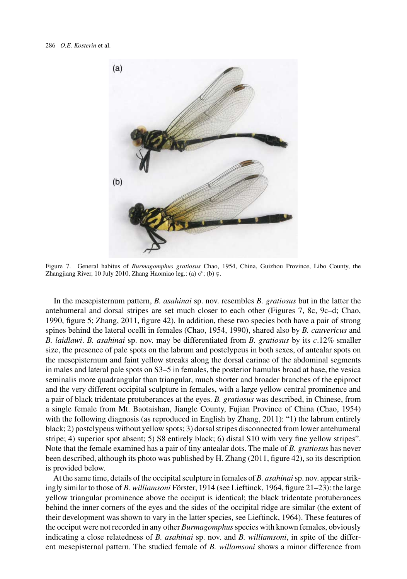<span id="page-11-0"></span>

Figure 7. General habitus of *Burmagomphus gratiosus* Chao, 1954, China, Guizhou Province, Libo County, the Zhangjiang River, 10 July 2010, Zhang Haomiao leg.: (a) ♂; (b) ♀.

In the mesepisternum pattern, *B. asahinai* sp. nov. resembles *B. gratiosus* but in the latter the antehumeral and dorsal stripes are set much closer to each other (Figures 7, [8c](#page-12-0), [9c](#page-13-0)–d; Chao, 1990, figure [5;](#page-6-0) Zhang, 2011, figure 42). In addition, these two species both have a pair of strong spines behind the lateral ocelli in females (Chao, 1954, 1990), shared also by *B. cauvericus* and *B. laidlawi*. *B. asahinai* sp. nov. may be differentiated from *B. gratiosus* by its *c*.12% smaller size, the presence of pale spots on the labrum and postclypeus in both sexes, of antealar spots on the mesepisternum and faint yellow streaks along the dorsal carinae of the abdominal segments in males and lateral pale spots on S3–5 in females, the posterior hamulus broad at base, the vesica seminalis more quadrangular than triangular, much shorter and broader branches of the epiproct and the very different occipital sculpture in females, with a large yellow central prominence and a pair of black tridentate protuberances at the eyes. *B. gratiosus* was described, in Chinese, from a single female from Mt. Baotaishan, Jiangle County, Fujian Province of China (Chao, 1954) with the following diagnosis (as reproduced in English by Zhang, 2011): "1) the labrum entirely black; 2) postclypeus without yellow spots; 3) dorsal stripes disconnected from lower antehumeral stripe; 4) superior spot absent; 5) S8 entirely black; 6) distal S10 with very fine yellow stripes". Note that the female examined has a pair of tiny antealar dots. The male of *B. gratiosus* has never been described, although its photo was published by H. Zhang (2011, figure 42), so its description is provided below.

At the same time, details of the occipital sculpture in females of *B. asahinai*sp. nov. appear strikingly similar to those of *B. williamsoni* Förster, 1914 (see Lieftinck, 1964, figure 21–23): the large yellow triangular prominence above the occiput is identical; the black tridentate protuberances behind the inner corners of the eyes and the sides of the occipital ridge are similar (the extent of their development was shown to vary in the latter species, see Lieftinck, 1964). These features of the occiput were not recorded in any other *Burmagomphus*species with known females, obviously indicating a close relatedness of *B. asahinai* sp. nov. and *B. williamsoni*, in spite of the different mesepisternal pattern. The studied female of *B. willamsoni* shows a minor difference from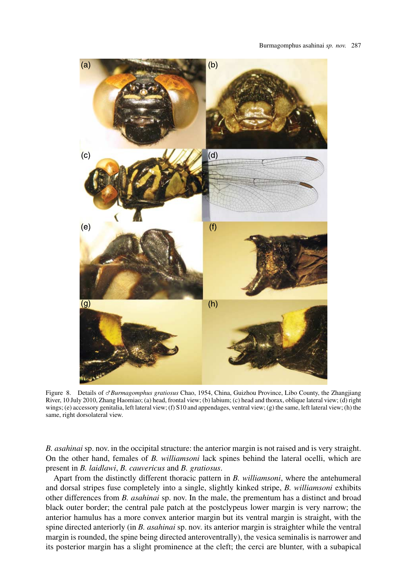<span id="page-12-0"></span>

Figure 8. Details of ♂*Burmagomphus gratiosus* Chao, 1954, China, Guizhou Province, Libo County, the Zhangjiang River, 10 July 2010, Zhang Haomiao; (a) head, frontal view; (b) labium; (c) head and thorax, oblique lateral view; (d) right wings; (e) accessory genitalia, left lateral view; (f) S10 and appendages, ventral view; (g) the same, left lateral view; (h) the same, right dorsolateral view.

*B. asahinai* sp. nov. in the occipital structure: the anterior margin is not raised and is very straight. On the other hand, females of *B. williamsoni* lack spines behind the lateral ocelli, which are present in *B. laidlawi*, *B. cauvericus* and *B. gratiosus*.

Apart from the distinctly different thoracic pattern in *B. williamsoni*, where the antehumeral and dorsal stripes fuse completely into a single, slightly kinked stripe, *B. williamsoni* exhibits other differences from *B. asahinai* sp. nov. In the male, the prementum has a distinct and broad black outer border; the central pale patch at the postclypeus lower margin is very narrow; the anterior hamulus has a more convex anterior margin but its ventral margin is straight, with the spine directed anteriorly (in *B. asahinai* sp. nov. its anterior margin is straighter while the ventral margin is rounded, the spine being directed anteroventrally), the vesica seminalis is narrower and its posterior margin has a slight prominence at the cleft; the cerci are blunter, with a subapical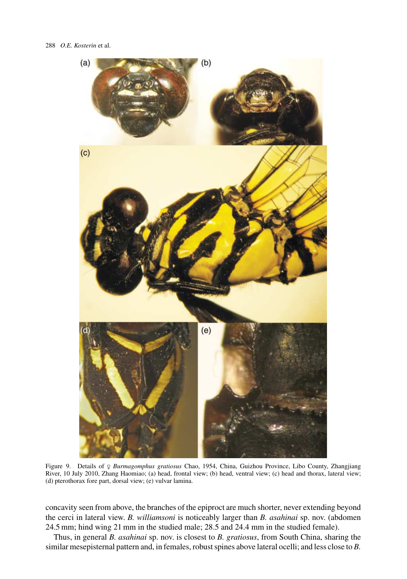<span id="page-13-0"></span>

Figure 9. Details of ♀ *Burmagomphus gratiosus* Chao, 1954, China, Guizhou Province, Libo County, Zhangjiang River, 10 July 2010, Zhang Haomiao; (a) head, frontal view; (b) head, ventral view; (c) head and thorax, lateral view; (d) pterothorax fore part, dorsal view; (e) vulvar lamina.

concavity seen from above, the branches of the epiproct are much shorter, never extending beyond the cerci in lateral view. *B. williamsoni* is noticeably larger than *B. asahinai* sp. nov. (abdomen 24.5 mm; hind wing 21 mm in the studied male; 28.5 and 24.4 mm in the studied female).

Thus, in general *B. asahinai* sp. nov. is closest to *B. gratiosus*, from South China, sharing the similar mesepisternal pattern and, in females, robust spines above lateral ocelli; and less close to *B.*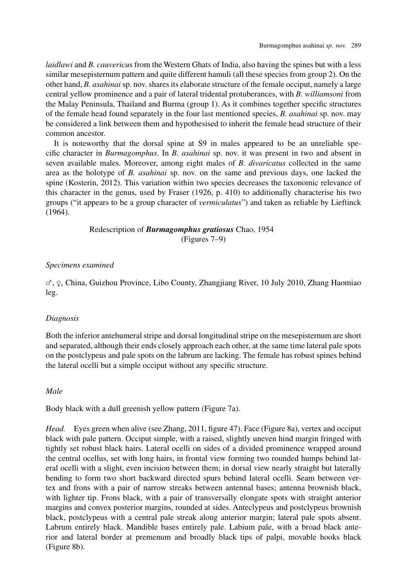*laidlawi* and *B. cauvericu*s from the Western Ghats of India, also having the spines but with a less similar mesepisternum pattern and quite different hamuli (all these species from group 2). On the other hand, *B. asahinai* sp. nov. shares its elaborate structure of the female occiput, namely a large central yellow prominence and a pair of lateral tridental protuberances, with *B. williamsoni* from the Malay Peninsula, Thailand and Burma (group 1). As it combines together specific structures of the female head found separately in the four last mentioned species, *B. asahinai* sp. nov. may be considered a link between them and hypothesised to inherit the female head structure of their common ancestor.

It is noteworthy that the dorsal spine at S9 in males appeared to be an unreliable specific character in *Burmagomphus*. In *B. asahinai* sp. nov. it was present in two and absent in seven available males. Moreover, among eight males of *B. divaricatus* collected in the same area as the holotype of *B. asahinai* sp. nov. on the same and previous days, one lacked the spine (Kosterin, 2012). This variation within two species decreases the taxonomic relevance of this character in the genus, used by Fraser (1926, p. 410) to additionally characterise his two groups ("it appears to be a group character of *vermiculatus*") and taken as reliable by Lieftinck (1964).

# Redescription of *Burmagomphus gratiosus* Chao, 1954 (Figures [7–](#page-11-0)[9\)](#page-13-0)

# *Specimens examined*

 $\sigma$ ,  $\varphi$ , China, Guizhou Province, Libo County, Zhangjiang River, 10 July 2010, Zhang Haomiao leg.

# *Diagnosis*

Both the inferior antehumeral stripe and dorsal longitudinal stripe on the mesepisternum are short and separated, although their ends closely approach each other, at the same time lateral pale spots on the postclypeus and pale spots on the labrum are lacking. The female has robust spines behind the lateral ocelli but a simple occiput without any specific structure.

# *Male*

Body black with a dull greenish yellow pattern (Figure [7a](#page-11-0)).

*Head.* Eyes green when alive (see Zhang, 2011, figure 47). Face (Figure [8a](#page-12-0)), vertex and occiput black with pale pattern. Occiput simple, with a raised, slightly uneven hind margin fringed with tightly set robust black hairs. Lateral ocelli on sides of a divided prominence wrapped around the central ocellus, set with long hairs, in frontal view forming two rounded humps behind lateral ocelli with a slight, even incision between them; in dorsal view nearly straight but laterally bending to form two short backward directed spurs behind lateral ocelli. Seam between vertex and frons with a pair of narrow streaks between antennal bases; antenna brownish black, with lighter tip. Frons black, with a pair of transversally elongate spots with straight anterior margins and convex posterior margins, rounded at sides. Anteclypeus and postclypeus brownish black, postclypeus with a central pale streak along anterior margin; lateral pale spots absent. Labrum entirely black. Mandible bases entirely pale. Labium pale, with a broad black anterior and lateral border at premenum and broadly black tips of palpi, movable hooks black (Figure [8b](#page-12-0)).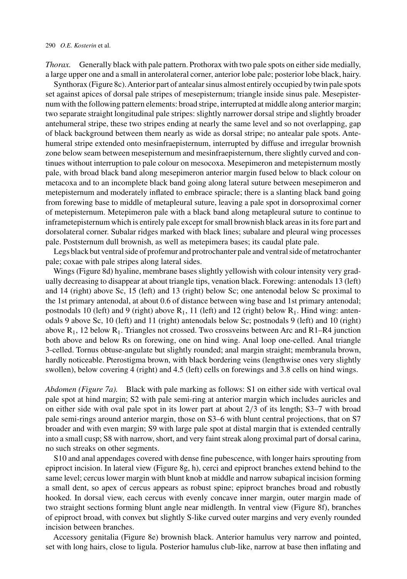*Thorax.* Generally black with pale pattern. Prothorax with two pale spots on either side medially, a large upper one and a small in anterolateral corner, anterior lobe pale; posterior lobe black, hairy.

Synthorax (Figure [8c](#page-12-0)).Anterior part of antealar sinus almost entirely occupied by twin pale spots set against apices of dorsal pale stripes of mesepisternum; triangle inside sinus pale. Mesepisternum with the following pattern elements: broad stripe, interrupted at middle along anterior margin; two separate straight longitudinal pale stripes: slightly narrower dorsal stripe and slightly broader antehumeral stripe, these two stripes ending at nearly the same level and so not overlapping, gap of black background between them nearly as wide as dorsal stripe; no antealar pale spots. Antehumeral stripe extended onto mesinfraepisternum, interrupted by diffuse and irregular brownish zone below seam between mesepisternum and mesinfraepisternum, there slightly curved and continues without interruption to pale colour on mesocoxa. Mesepimeron and metepisternum mostly pale, with broad black band along mesepimeron anterior margin fused below to black colour on metacoxa and to an incomplete black band going along lateral suture between mesepimeron and metepisternum and moderately inflated to embrace spiracle; there is a slanting black band going from forewing base to middle of metapleural suture, leaving a pale spot in dorsoproximal corner of metepisternum. Metepimeron pale with a black band along metapleural suture to continue to inframetepisternum which is entirely pale except for small brownish black areas in its fore part and dorsolateral corner. Subalar ridges marked with black lines; subalare and pleural wing processes pale. Poststernum dull brownish, as well as metepimera bases; its caudal plate pale.

Legs black but ventral side of profemur and protrochanter pale and ventral side of metatrochanter pale; coxae with pale stripes along lateral sides.

Wings (Figure [8d](#page-12-0)) hyaline, membrane bases slightly yellowish with colour intensity very gradually decreasing to disappear at about triangle tips, venation black. Forewing: antenodals 13 (left) and 14 (right) above Sc, 15 (left) and 13 (right) below Sc; one antenodal below Sc proximal to the 1st primary antenodal, at about 0.6 of distance between wing base and 1st primary antenodal; postnodals 10 (left) and 9 (right) above  $R_1$ , 11 (left) and 12 (right) below  $R_1$ . Hind wing: antenodals 9 above Sc, 10 (left) and 11 (right) antenodals below Sc; postnodals 9 (left) and 10 (right) above  $R_1$ , 12 below  $R_1$ . Triangles not crossed. Two crossveins between Arc and R1–R4 junction both above and below Rs on forewing, one on hind wing. Anal loop one-celled. Anal triangle 3-celled. Tornus obtuse-angulate but slightly rounded; anal margin straight; membranula brown, hardly noticeable. Pterostigma brown, with black bordering veins (lengthwise ones very slightly swollen), below covering 4 (right) and 4.5 (left) cells on forewings and 3.8 cells on hind wings.

*Abdomen (Figure [7a](#page-11-0)).* Black with pale marking as follows: S1 on either side with vertical oval pale spot at hind margin; S2 with pale semi-ring at anterior margin which includes auricles and on either side with oval pale spot in its lower part at about 2*/*3 of its length; S3–7 with broad pale semi-rings around anterior margin, those on S3–6 with blunt central projections, that on S7 broader and with even margin; S9 with large pale spot at distal margin that is extended centrally into a small cusp; S8 with narrow, short, and very faint streak along proximal part of dorsal carina, no such streaks on other segments.

S10 and anal appendages covered with dense fine pubescence, with longer hairs sprouting from epiproct incision. In lateral view (Figure [8g](#page-12-0), h), cerci and epiproct branches extend behind to the same level; cercus lower margin with blunt knob at middle and narrow subapical incision forming a small dent, so apex of cercus appears as robust spine; epiproct branches broad and robustly hooked. In dorsal view, each cercus with evenly concave inner margin, outer margin made of two straight sections forming blunt angle near midlength. In ventral view (Figure [8f](#page-12-0)), branches of epiproct broad, with convex but slightly S-like curved outer margins and very evenly rounded incision between branches.

Accessory genitalia (Figure [8e](#page-12-0)) brownish black. Anterior hamulus very narrow and pointed, set with long hairs, close to ligula. Posterior hamulus club-like, narrow at base then inflating and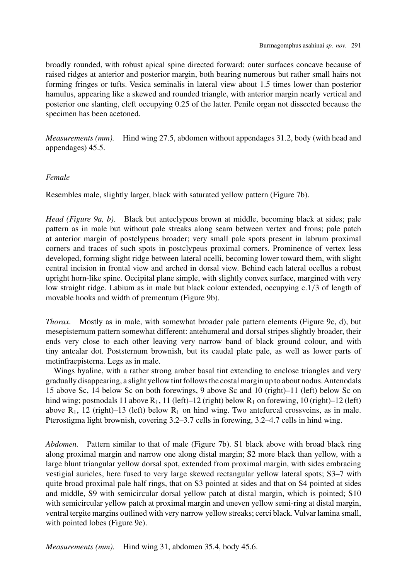broadly rounded, with robust apical spine directed forward; outer surfaces concave because of raised ridges at anterior and posterior margin, both bearing numerous but rather small hairs not forming fringes or tufts. Vesica seminalis in lateral view about 1.5 times lower than posterior hamulus, appearing like a skewed and rounded triangle, with anterior margin nearly vertical and posterior one slanting, cleft occupying 0.25 of the latter. Penile organ not dissected because the specimen has been acetoned.

*Measurements (mm).* Hind wing 27.5, abdomen without appendages 31.2, body (with head and appendages) 45.5.

## *Female*

Resembles male, slightly larger, black with saturated yellow pattern (Figure [7b](#page-11-0)).

*Head (Figure [9a](#page-13-0), b).* Black but anteclypeus brown at middle, becoming black at sides; pale pattern as in male but without pale streaks along seam between vertex and frons; pale patch at anterior margin of postclypeus broader; very small pale spots present in labrum proximal corners and traces of such spots in postclypeus proximal corners. Prominence of vertex less developed, forming slight ridge between lateral ocelli, becoming lower toward them, with slight central incision in frontal view and arched in dorsal view. Behind each lateral ocellus a robust upright horn-like spine. Occipital plane simple, with slightly convex surface, margined with very low straight ridge. Labium as in male but black colour extended, occupying c.1*/*3 of length of movable hooks and width of prementum (Figure [9b](#page-13-0)).

*Thorax.* Mostly as in male, with somewhat broader pale pattern elements (Figure [9c](#page-13-0), d), but mesepisternum pattern somewhat different: antehumeral and dorsal stripes slightly broader, their ends very close to each other leaving very narrow band of black ground colour, and with tiny antealar dot. Poststernum brownish, but its caudal plate pale, as well as lower parts of metinfraepisterna. Legs as in male.

Wings hyaline, with a rather strong amber basal tint extending to enclose triangles and very gradually disappearing, a slight yellow tint follows the costal margin up to about nodus.Antenodals 15 above Sc, 14 below Sc on both forewings, 9 above Sc and 10 (right)–11 (left) below Sc on hind wing; postnodals 11 above  $R_1$ , 11 (left)–12 (right) below  $R_1$  on forewing, 10 (right)–12 (left) above  $R_1$ , 12 (right)–13 (left) below  $R_1$  on hind wing. Two antefurcal crossveins, as in male. Pterostigma light brownish, covering 3.2–3.7 cells in forewing, 3.2–4.7 cells in hind wing.

*Abdomen.* Pattern similar to that of male (Figure [7b](#page-11-0)). S1 black above with broad black ring along proximal margin and narrow one along distal margin; S2 more black than yellow, with a large blunt triangular yellow dorsal spot, extended from proximal margin, with sides embracing vestigial auricles, here fused to very large skewed rectangular yellow lateral spots; S3–7 with quite broad proximal pale half rings, that on S3 pointed at sides and that on S4 pointed at sides and middle, S9 with semicircular dorsal yellow patch at distal margin, which is pointed; S10 with semicircular yellow patch at proximal margin and uneven yellow semi-ring at distal margin, ventral tergite margins outlined with very narrow yellow streaks; cerci black. Vulvar lamina small, with pointed lobes (Figure [9e](#page-13-0)).